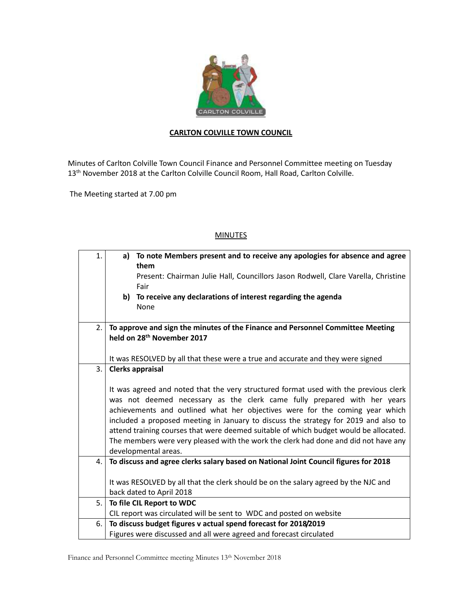

## **CARLTON COLVILLE TOWN COUNCIL**

Minutes of Carlton Colville Town Council Finance and Personnel Committee meeting on Tuesday 13<sup>th</sup> November 2018 at the Carlton Colville Council Room, Hall Road, Carlton Colville.

The Meeting started at 7.00 pm

## **MINUTES**

| $\mathbf{1}$ . | a) To note Members present and to receive any apologies for absence and agree                                                                                                                                                                    |  |  |
|----------------|--------------------------------------------------------------------------------------------------------------------------------------------------------------------------------------------------------------------------------------------------|--|--|
|                | them                                                                                                                                                                                                                                             |  |  |
|                | Present: Chairman Julie Hall, Councillors Jason Rodwell, Clare Varella, Christine                                                                                                                                                                |  |  |
|                | Fair                                                                                                                                                                                                                                             |  |  |
|                | b) To receive any declarations of interest regarding the agenda                                                                                                                                                                                  |  |  |
|                | None                                                                                                                                                                                                                                             |  |  |
|                |                                                                                                                                                                                                                                                  |  |  |
| 2.             | To approve and sign the minutes of the Finance and Personnel Committee Meeting                                                                                                                                                                   |  |  |
|                | held on 28 <sup>th</sup> November 2017                                                                                                                                                                                                           |  |  |
|                |                                                                                                                                                                                                                                                  |  |  |
|                | It was RESOLVED by all that these were a true and accurate and they were signed                                                                                                                                                                  |  |  |
| 3.             | <b>Clerks appraisal</b>                                                                                                                                                                                                                          |  |  |
|                |                                                                                                                                                                                                                                                  |  |  |
|                | It was agreed and noted that the very structured format used with the previous clerk<br>was not deemed necessary as the clerk came fully prepared with her years<br>achievements and outlined what her objectives were for the coming year which |  |  |
|                |                                                                                                                                                                                                                                                  |  |  |
|                |                                                                                                                                                                                                                                                  |  |  |
|                | included a proposed meeting in January to discuss the strategy for 2019 and also to<br>attend training courses that were deemed suitable of which budget would be allocated.                                                                     |  |  |
|                |                                                                                                                                                                                                                                                  |  |  |
|                | The members were very pleased with the work the clerk had done and did not have any                                                                                                                                                              |  |  |
|                | developmental areas.                                                                                                                                                                                                                             |  |  |
| 4.             | To discuss and agree clerks salary based on National Joint Council figures for 2018                                                                                                                                                              |  |  |
|                |                                                                                                                                                                                                                                                  |  |  |
|                | It was RESOLVED by all that the clerk should be on the salary agreed by the NJC and                                                                                                                                                              |  |  |
|                | back dated to April 2018                                                                                                                                                                                                                         |  |  |
| 5.             | To file CIL Report to WDC                                                                                                                                                                                                                        |  |  |
|                | CIL report was circulated will be sent to WDC and posted on website                                                                                                                                                                              |  |  |
| 6.             | To discuss budget figures v actual spend forecast for 2018/2019                                                                                                                                                                                  |  |  |
|                | Figures were discussed and all were agreed and forecast circulated                                                                                                                                                                               |  |  |